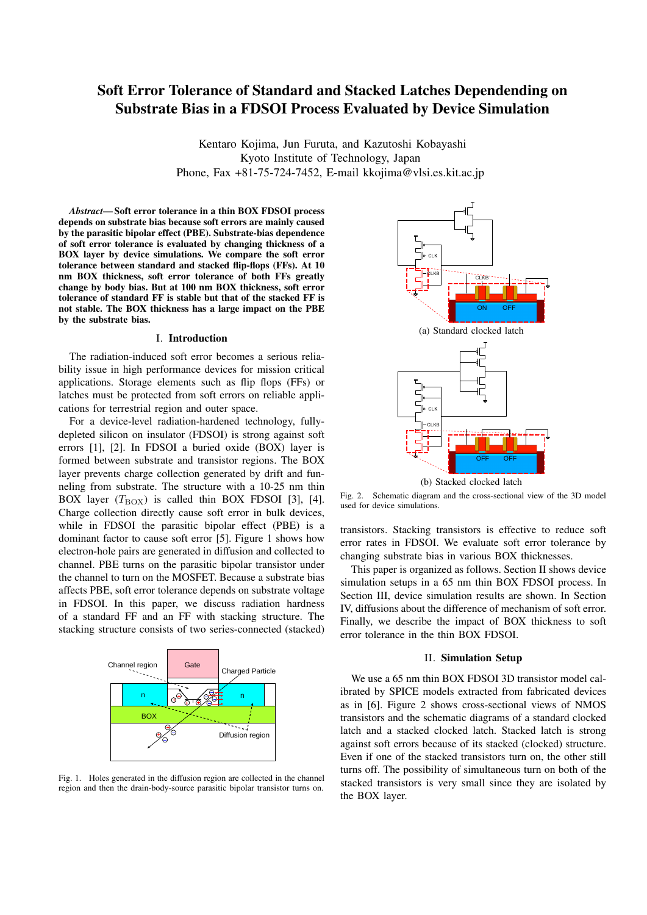# Soft Error Tolerance of Standard and Stacked Latches Dependending on Substrate Bias in a FDSOI Process Evaluated by Device Simulation

Kentaro Kojima, Jun Furuta, and Kazutoshi Kobayashi Kyoto Institute of Technology, Japan Phone, Fax +81-75-724-7452, E-mail kkojima@vlsi.es.kit.ac.jp

*Abstract*— Soft error tolerance in a thin BOX FDSOI process depends on substrate bias because soft errors are mainly caused by the parasitic bipolar effect (PBE). Substrate-bias dependence of soft error tolerance is evaluated by changing thickness of a BOX layer by device simulations. We compare the soft error tolerance between standard and stacked flip-flops (FFs). At 10 nm BOX thickness, soft error tolerance of both FFs greatly change by body bias. But at 100 nm BOX thickness, soft error tolerance of standard FF is stable but that of the stacked FF is not stable. The BOX thickness has a large impact on the PBE by the substrate bias.

### I. Introduction

The radiation-induced soft error becomes a serious reliability issue in high performance devices for mission critical applications. Storage elements such as flip flops (FFs) or latches must be protected from soft errors on reliable applications for terrestrial region and outer space.

For a device-level radiation-hardened technology, fullydepleted silicon on insulator (FDSOI) is strong against soft errors [1], [2]. In FDSOI a buried oxide (BOX) layer is formed between substrate and transistor regions. The BOX layer prevents charge collection generated by drift and funneling from substrate. The structure with a 10-25 nm thin BOX layer  $(T_{\rm BOX})$  is called thin BOX FDSOI [3], [4]. Charge collection directly cause soft error in bulk devices, while in FDSOI the parasitic bipolar effect (PBE) is a dominant factor to cause soft error [5]. Figure 1 shows how electron-hole pairs are generated in diffusion and collected to channel. PBE turns on the parasitic bipolar transistor under the channel to turn on the MOSFET. Because a substrate bias affects PBE, soft error tolerance depends on substrate voltage in FDSOI. In this paper, we discuss radiation hardness of a standard FF and an FF with stacking structure. The stacking structure consists of two series-connected (stacked)



Fig. 1. Holes generated in the diffusion region are collected in the channel region and then the drain-body-source parasitic bipolar transistor turns on.



Fig. 2. Schematic diagram and the cross-sectional view of the 3D model used for device simulations.

transistors. Stacking transistors is effective to reduce soft error rates in FDSOI. We evaluate soft error tolerance by changing substrate bias in various BOX thicknesses.

This paper is organized as follows. Section II shows device simulation setups in a 65 nm thin BOX FDSOI process. In Section III, device simulation results are shown. In Section IV, diffusions about the difference of mechanism of soft error. Finally, we describe the impact of BOX thickness to soft error tolerance in the thin BOX FDSOI.

## II. Simulation Setup

We use a 65 nm thin BOX FDSOI 3D transistor model calibrated by SPICE models extracted from fabricated devices as in [6]. Figure 2 shows cross-sectional views of NMOS transistors and the schematic diagrams of a standard clocked latch and a stacked clocked latch. Stacked latch is strong against soft errors because of its stacked (clocked) structure. Even if one of the stacked transistors turn on, the other still turns off. The possibility of simultaneous turn on both of the stacked transistors is very small since they are isolated by the BOX layer.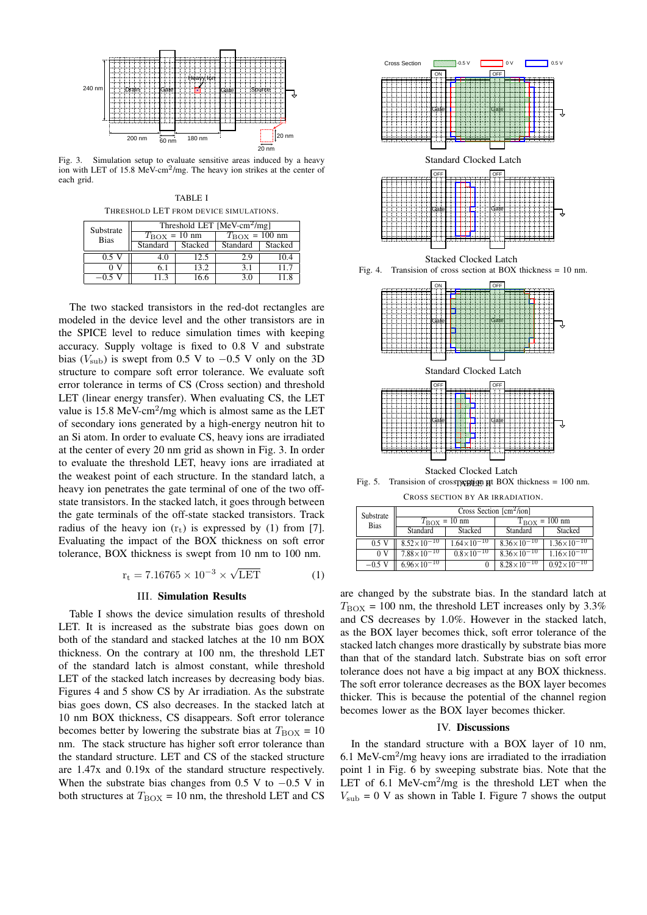

Fig. 3. Simulation setup to evaluate sensitive areas induced by a heavy ion with LET of 15.8 MeV-cm<sup>2</sup>/mg. The heavy ion strikes at the center of each grid.

TABLE I THRESHOLD LET FROM DEVICE SIMULATIONS.

| Substrate<br><b>Bias</b> | Threshold LET $[MeV-cm2/mg]$ |         |                        |         |  |
|--------------------------|------------------------------|---------|------------------------|---------|--|
|                          | $T_{\rm BOX} = 10$ nm        |         | $T_{\rm BOX} = 100$ nm |         |  |
|                          | Standard                     | Stacked | Standard               | Stacked |  |
| 0.5 V                    | 4.0                          | 12.5    | 2.9                    | 10.4    |  |
|                          | 61                           | 13.2    | 3.1                    | 11.7    |  |
| $-0.5$ V                 | 11.3                         | 16.6    | 3.0                    | 118     |  |

The two stacked transistors in the red-dot rectangles are modeled in the device level and the other transistors are in the SPICE level to reduce simulation times with keeping accuracy. Supply voltage is fixed to 0.8 V and substrate bias ( $V_{\text{sub}}$ ) is swept from 0.5 V to  $-0.5$  V only on the 3D structure to compare soft error tolerance. We evaluate soft error tolerance in terms of CS (Cross section) and threshold LET (linear energy transfer). When evaluating CS, the LET value is  $15.8 \text{ MeV-cm}^2/\text{mg}$  which is almost same as the LET of secondary ions generated by a high-energy neutron hit to an Si atom. In order to evaluate CS, heavy ions are irradiated at the center of every 20 nm grid as shown in Fig. 3. In order to evaluate the threshold LET, heavy ions are irradiated at the weakest point of each structure. In the standard latch, a heavy ion penetrates the gate terminal of one of the two offstate transistors. In the stacked latch, it goes through between the gate terminals of the off-state stacked transistors. Track radius of the heavy ion  $(r_t)$  is expressed by (1) from [7]. Evaluating the impact of the BOX thickness on soft error tolerance, BOX thickness is swept from 10 nm to 100 nm.

$$
r_{\rm t} = 7.16765 \times 10^{-3} \times \sqrt{\rm LET} \tag{1}
$$

#### III. Simulation Results

Table I shows the device simulation results of threshold LET. It is increased as the substrate bias goes down on both of the standard and stacked latches at the 10 nm BOX thickness. On the contrary at 100 nm, the threshold LET of the standard latch is almost constant, while threshold LET of the stacked latch increases by decreasing body bias. Figures 4 and 5 show CS by Ar irradiation. As the substrate bias goes down, CS also decreases. In the stacked latch at 10 nm BOX thickness, CS disappears. Soft error tolerance becomes better by lowering the substrate bias at  $T_{\text{BOX}} = 10$ nm. The stack structure has higher soft error tolerance than the standard structure. LET and CS of the stacked structure are 1.47x and 0.19x of the standard structure respectively. When the substrate bias changes from 0.5 V to *−*0.5 V in both structures at  $T_{\rm BOX} = 10$  nm, the threshold LET and CS



Stacked Clocked Latch

Fig. 4. Transision of cross section at BOX thickness = 10 nm.



Fig. 5. Transision of cross regular at BOX thickness =  $100 \text{ nm}$ .

CROSS SECTION BY AR IRRADIATION.

| Substrate<br><b>Bias</b> | Cross Section $\lceil$ cm <sup>2</sup> /ion] |                      |                                   |                        |  |
|--------------------------|----------------------------------------------|----------------------|-----------------------------------|------------------------|--|
|                          | $T_{\rm BOX} = 10$ nm                        |                      | $T_{\text{BOX}} = 100 \text{ nm}$ |                        |  |
|                          | Standard                                     | Stacked              | Standard                          | Stacked                |  |
| $0.5$ V                  | $8.52\times10^{-10}$                         | $1.64\times10^{-10}$ | $8.36 \times 10^{-10}$            | $1.36 \times 10^{-10}$ |  |
| 0 <sub>V</sub>           | $7.88 \times 10^{-10}$                       | $0.8\times10^{-10}$  | $8.36 \times 10^{-10}$            | $1.16\times10^{-10}$   |  |
| $-0.5$ V                 | $6.96 \times 10^{-10}$                       |                      | $8.28 \times 10^{-10}$            | $0.92 \times 10^{-10}$ |  |

are changed by the substrate bias. In the standard latch at  $T_{\text{BOX}} = 100 \text{ nm}$ , the threshold LET increases only by 3.3% and CS decreases by 1.0%. However in the stacked latch, as the BOX layer becomes thick, soft error tolerance of the stacked latch changes more drastically by substrate bias more than that of the standard latch. Substrate bias on soft error tolerance does not have a big impact at any BOX thickness. The soft error tolerance decreases as the BOX layer becomes thicker. This is because the potential of the channel region becomes lower as the BOX layer becomes thicker.

#### IV. Discussions

In the standard structure with a BOX layer of 10 nm, 6.1 MeV-cm<sup>2</sup> /mg heavy ions are irradiated to the irradiation point 1 in Fig. 6 by sweeping substrate bias. Note that the LET of  $6.1$  MeV-cm<sup>2</sup>/mg is the threshold LET when the  $V_{\text{sub}} = 0$  V as shown in Table I. Figure 7 shows the output